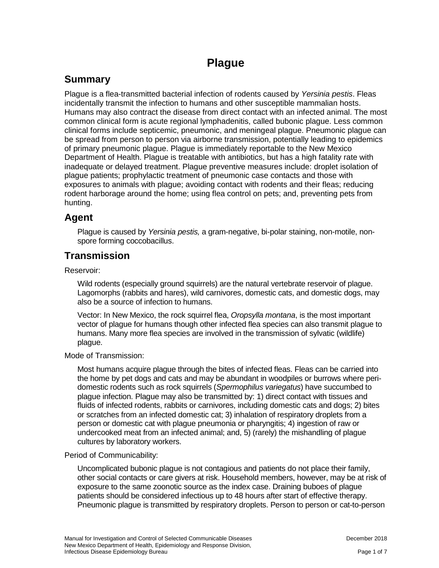# **Plague**

## **Summary**

Plague is a flea-transmitted bacterial infection of rodents caused by *Yersinia pestis*. Fleas incidentally transmit the infection to humans and other susceptible mammalian hosts. Humans may also contract the disease from direct contact with an infected animal. The most common clinical form is acute regional lymphadenitis, called bubonic plague. Less common clinical forms include septicemic, pneumonic, and meningeal plague. Pneumonic plague can be spread from person to person via airborne transmission, potentially leading to epidemics of primary pneumonic plague. Plague is immediately reportable to the New Mexico Department of Health. Plague is treatable with antibiotics, but has a high fatality rate with inadequate or delayed treatment. Plague preventive measures include: droplet isolation of plague patients; prophylactic treatment of pneumonic case contacts and those with exposures to animals with plague; avoiding contact with rodents and their fleas; reducing rodent harborage around the home; using flea control on pets; and, preventing pets from hunting.

### **Agent**

Plague is caused by *Yersinia pestis,* a gram-negative, bi-polar staining, non-motile, nonspore forming coccobacillus.

### **Transmission**

Reservoir:

Wild rodents (especially ground squirrels) are the natural vertebrate reservoir of plague. Lagomorphs (rabbits and hares), wild carnivores, domestic cats, and domestic dogs, may also be a source of infection to humans.

Vector: In New Mexico, the rock squirrel flea, *Oropsylla montana*, is the most important vector of plague for humans though other infected flea species can also transmit plague to humans. Many more flea species are involved in the transmission of sylvatic (wildlife) plague.

Mode of Transmission:

Most humans acquire plague through the bites of infected fleas. Fleas can be carried into the home by pet dogs and cats and may be abundant in woodpiles or burrows where peridomestic rodents such as rock squirrels (*Spermophilus variegatus*) have succumbed to plague infection. Plague may also be transmitted by: 1) direct contact with tissues and fluids of infected rodents, rabbits or carnivores, including domestic cats and dogs; 2) bites or scratches from an infected domestic cat; 3) inhalation of respiratory droplets from a person or domestic cat with plague pneumonia or pharyngitis; 4) ingestion of raw or undercooked meat from an infected animal; and, 5) (rarely) the mishandling of plague cultures by laboratory workers.

#### Period of Communicability:

Uncomplicated bubonic plague is not contagious and patients do not place their family, other social contacts or care givers at risk. Household members, however, may be at risk of exposure to the same zoonotic source as the index case. Draining buboes of plague patients should be considered infectious up to 48 hours after start of effective therapy. Pneumonic plague is transmitted by respiratory droplets. Person to person or cat-to-person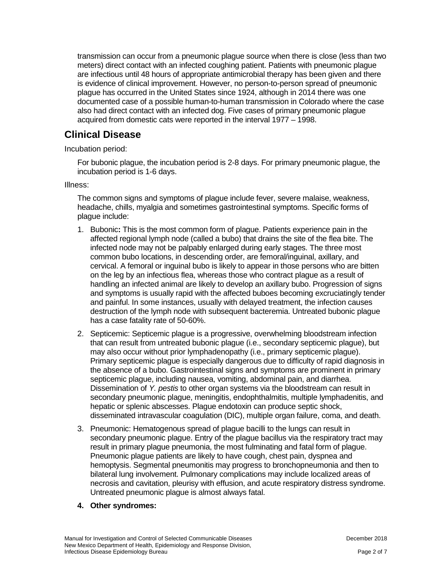transmission can occur from a pneumonic plague source when there is close (less than two meters) direct contact with an infected coughing patient. Patients with pneumonic plague are infectious until 48 hours of appropriate antimicrobial therapy has been given and there is evidence of clinical improvement. However, no person-to-person spread of pneumonic plague has occurred in the United States since 1924, although in 2014 there was one documented case of a possible human-to-human transmission in Colorado where the case also had direct contact with an infected dog. Five cases of primary pneumonic plague acquired from domestic cats were reported in the interval 1977 – 1998.

## **Clinical Disease**

Incubation period:

For bubonic plague, the incubation period is 2-8 days. For primary pneumonic plague, the incubation period is 1-6 days.

Illness:

The common signs and symptoms of plague include fever, severe malaise, weakness, headache, chills, myalgia and sometimes gastrointestinal symptoms. Specific forms of plague include:

- 1. Bubonic**:** This is the most common form of plague. Patients experience pain in the affected regional lymph node (called a bubo) that drains the site of the flea bite. The infected node may not be palpably enlarged during early stages. The three most common bubo locations, in descending order, are femoral/inguinal, axillary, and cervical. A femoral or inguinal bubo is likely to appear in those persons who are bitten on the leg by an infectious flea, whereas those who contract plague as a result of handling an infected animal are likely to develop an axillary bubo. Progression of signs and symptoms is usually rapid with the affected buboes becoming excruciatingly tender and painful. In some instances, usually with delayed treatment, the infection causes destruction of the lymph node with subsequent bacteremia. Untreated bubonic plague has a case fatality rate of 50-60%.
- 2. Septicemic: Septicemic plague is a progressive, overwhelming bloodstream infection that can result from untreated bubonic plague (i.e., secondary septicemic plague), but may also occur without prior lymphadenopathy (i.e., primary septicemic plague). Primary septicemic plague is especially dangerous due to difficulty of rapid diagnosis in the absence of a bubo. Gastrointestinal signs and symptoms are prominent in primary septicemic plague, including nausea, vomiting, abdominal pain, and diarrhea. Dissemination of *Y. pestis* to other organ systems via the bloodstream can result in secondary pneumonic plague, meningitis, endophthalmitis, multiple lymphadenitis, and hepatic or splenic abscesses. Plague endotoxin can produce septic shock, disseminated intravascular coagulation (DIC), multiple organ failure, coma, and death.
- 3. Pneumonic: Hematogenous spread of plague bacilli to the lungs can result in secondary pneumonic plague. Entry of the plague bacillus via the respiratory tract may result in primary plague pneumonia, the most fulminating and fatal form of plague. Pneumonic plague patients are likely to have cough, chest pain, dyspnea and hemoptysis. Segmental pneumonitis may progress to bronchopneumonia and then to bilateral lung involvement. Pulmonary complications may include localized areas of necrosis and cavitation, pleurisy with effusion, and acute respiratory distress syndrome. Untreated pneumonic plague is almost always fatal.
- **4. Other syndromes:**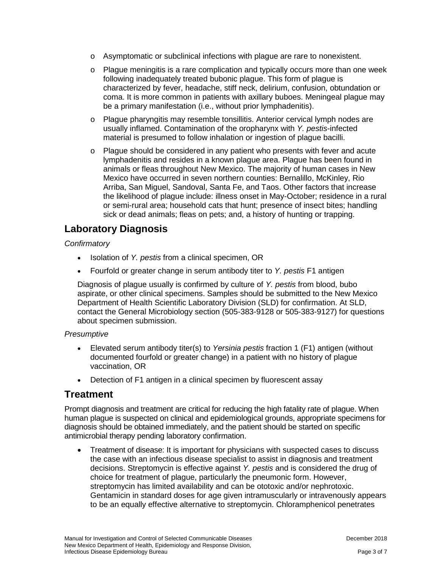- o Asymptomatic or subclinical infections with plague are rare to nonexistent.
- $\circ$  Plague meningitis is a rare complication and typically occurs more than one week following inadequately treated bubonic plague. This form of plague is characterized by fever, headache, stiff neck, delirium, confusion, obtundation or coma. It is more common in patients with axillary buboes. Meningeal plague may be a primary manifestation (i.e., without prior lymphadenitis).
- o Plague pharyngitis may resemble tonsillitis. Anterior cervical lymph nodes are usually inflamed. Contamination of the oropharynx with *Y. pestis*-infected material is presumed to follow inhalation or ingestion of plague bacilli.
- o Plague should be considered in any patient who presents with fever and acute lymphadenitis and resides in a known plague area. Plague has been found in animals or fleas throughout New Mexico. The majority of human cases in New Mexico have occurred in seven northern counties: Bernalillo, McKinley, Rio Arriba, San Miguel, Sandoval, Santa Fe, and Taos. Other factors that increase the likelihood of plague include: illness onset in May-October; residence in a rural or semi-rural area; household cats that hunt; presence of insect bites; handling sick or dead animals; fleas on pets; and, a history of hunting or trapping.

### **Laboratory Diagnosis**

#### *Confirmatory*

- Isolation of *Y. pestis* from a clinical specimen, OR
- Fourfold or greater change in serum antibody titer to *Y. pestis* F1 antigen

Diagnosis of plague usually is confirmed by culture of *Y. pestis* from blood, bubo aspirate, or other clinical specimens. Samples should be submitted to the New Mexico Department of Health Scientific Laboratory Division (SLD) for confirmation. At SLD, contact the General Microbiology section (505-383-9128 or 505-383-9127) for questions about specimen submission.

#### *Presumptive*

- Elevated serum antibody titer(s) to *Yersinia pestis* fraction 1 (F1) antigen (without documented fourfold or greater change) in a patient with no history of plague vaccination, OR
- Detection of F1 antigen in a clinical specimen by fluorescent assay

### **Treatment**

Prompt diagnosis and treatment are critical for reducing the high fatality rate of plague. When human plague is suspected on clinical and epidemiological grounds, appropriate specimens for diagnosis should be obtained immediately, and the patient should be started on specific antimicrobial therapy pending laboratory confirmation.

• Treatment of disease: It is important for physicians with suspected cases to discuss the case with an infectious disease specialist to assist in diagnosis and treatment decisions. Streptomycin is effective against *Y. pestis* and is considered the drug of choice for treatment of plague, particularly the pneumonic form. However, streptomycin has limited availability and can be ototoxic and/or nephrotoxic. Gentamicin in standard doses for age given intramuscularly or intravenously appears to be an equally effective alternative to streptomycin. Chloramphenicol penetrates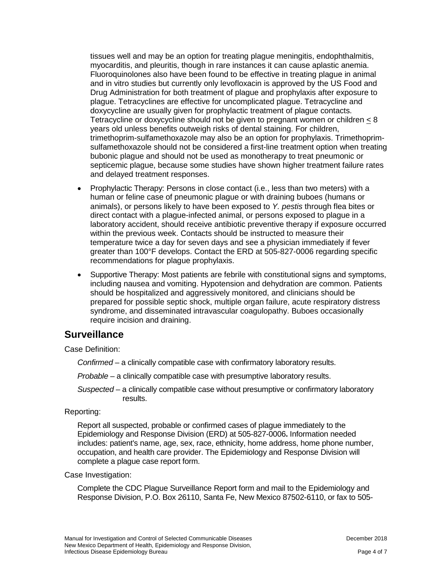tissues well and may be an option for treating plague meningitis, endophthalmitis, myocarditis, and pleuritis, though in rare instances it can cause aplastic anemia. Fluoroquinolones also have been found to be effective in treating plague in animal and in vitro studies but currently only levofloxacin is approved by the US Food and Drug Administration for both treatment of plague and prophylaxis after exposure to plague. Tetracyclines are effective for uncomplicated plague. Tetracycline and doxycycline are usually given for prophylactic treatment of plague contacts. Tetracycline or doxycycline should not be given to pregnant women or children  $< 8$ years old unless benefits outweigh risks of dental staining. For children, trimethoprim-sulfamethoxazole may also be an option for prophylaxis. Trimethoprimsulfamethoxazole should not be considered a first-line treatment option when treating bubonic plague and should not be used as monotherapy to treat pneumonic or septicemic plague, because some studies have shown higher treatment failure rates and delayed treatment responses.

- Prophylactic Therapy: Persons in close contact (i.e., less than two meters) with a human or feline case of pneumonic plague or with draining buboes (humans or animals), or persons likely to have been exposed to *Y. pestis* through flea bites or direct contact with a plague-infected animal, or persons exposed to plague in a laboratory accident, should receive antibiotic preventive therapy if exposure occurred within the previous week. Contacts should be instructed to measure their temperature twice a day for seven days and see a physician immediately if fever greater than 100°F develops. Contact the ERD at 505-827-0006 regarding specific recommendations for plague prophylaxis.
- Supportive Therapy: Most patients are febrile with constitutional signs and symptoms, including nausea and vomiting. Hypotension and dehydration are common. Patients should be hospitalized and aggressively monitored, and clinicians should be prepared for possible septic shock, multiple organ failure, acute respiratory distress syndrome, and disseminated intravascular coagulopathy. Buboes occasionally require incision and draining.

### **Surveillance**

Case Definition:

*Confirmed* – a clinically compatible case with confirmatory laboratory results.

*Probable* – a clinically compatible case with presumptive laboratory results.

*Suspected* – a clinically compatible case without presumptive or confirmatory laboratory results.

### Reporting:

Report all suspected, probable or confirmed cases of plague immediately to the Epidemiology and Response Division (ERD) at 505-827-0006**.** Information needed includes: patient's name, age, sex, race, ethnicity, home address, home phone number, occupation, and health care provider. The Epidemiology and Response Division will complete a plague case report form.

### Case Investigation:

Complete the CDC Plague Surveillance Report form and mail to the Epidemiology and Response Division, P.O. Box 26110, Santa Fe, New Mexico 87502-6110, or fax to 505-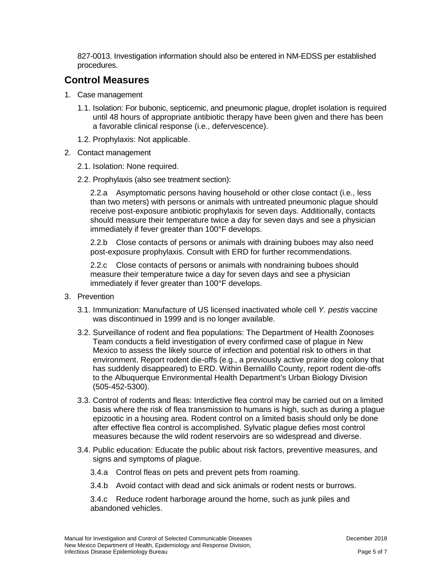827-0013. Investigation information should also be entered in NM-EDSS per established procedures.

## **Control Measures**

- 1. Case management
	- 1.1. Isolation: For bubonic, septicemic, and pneumonic plague, droplet isolation is required until 48 hours of appropriate antibiotic therapy have been given and there has been a favorable clinical response (i.e., defervescence).
	- 1.2. Prophylaxis: Not applicable.
- 2. Contact management
	- 2.1. Isolation: None required.
	- 2.2. Prophylaxis (also see treatment section):

2.2.a Asymptomatic persons having household or other close contact (i.e., less than two meters) with persons or animals with untreated pneumonic plague should receive post-exposure antibiotic prophylaxis for seven days. Additionally, contacts should measure their temperature twice a day for seven days and see a physician immediately if fever greater than 100°F develops.

2.2.b Close contacts of persons or animals with draining buboes may also need post-exposure prophylaxis. Consult with ERD for further recommendations.

2.2.c Close contacts of persons or animals with nondraining buboes should measure their temperature twice a day for seven days and see a physician immediately if fever greater than 100°F develops.

- 3. Prevention
	- 3.1. Immunization: Manufacture of US licensed inactivated whole cell *Y. pestis* vaccine was discontinued in 1999 and is no longer available.
	- 3.2. Surveillance of rodent and flea populations: The Department of Health Zoonoses Team conducts a field investigation of every confirmed case of plague in New Mexico to assess the likely source of infection and potential risk to others in that environment. Report rodent die-offs (e.g., a previously active prairie dog colony that has suddenly disappeared) to ERD. Within Bernalillo County, report rodent die-offs to the Albuquerque Environmental Health Department's Urban Biology Division (505-452-5300).
	- 3.3. Control of rodents and fleas: Interdictive flea control may be carried out on a limited basis where the risk of flea transmission to humans is high, such as during a plague epizootic in a housing area. Rodent control on a limited basis should only be done after effective flea control is accomplished. Sylvatic plague defies most control measures because the wild rodent reservoirs are so widespread and diverse.
	- 3.4. Public education: Educate the public about risk factors, preventive measures, and signs and symptoms of plague.
		- 3.4.a Control fleas on pets and prevent pets from roaming.
		- 3.4.b Avoid contact with dead and sick animals or rodent nests or burrows.

3.4.c Reduce rodent harborage around the home, such as junk piles and abandoned vehicles.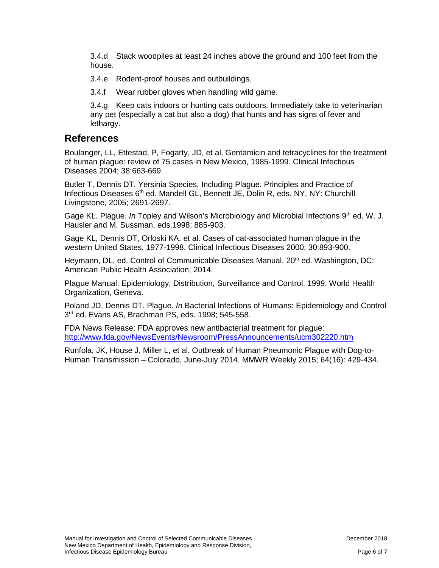3.4.d Stack woodpiles at least 24 inches above the ground and 100 feet from the house.

3.4.e Rodent-proof houses and outbuildings.

3.4.f Wear rubber gloves when handling wild game.

3.4.g Keep cats indoors or hunting cats outdoors. Immediately take to veterinarian any pet (especially a cat but also a dog) that hunts and has signs of fever and lethargy.

### **References**

Boulanger, LL, Ettestad, P, Fogarty, JD, et al. Gentamicin and tetracyclines for the treatment of human plague: review of 75 cases in New Mexico, 1985-1999. Clinical Infectious Diseases 2004; 38:663-669.

Butler T, Dennis DT. Yersinia Species, Including Plague. Principles and Practice of Infectious Diseases 6<sup>th</sup> ed. Mandell GL, Bennett JE, Dolin R, eds. NY, NY: Churchill Livingstone, 2005; 2691-2697.

Gage KL. Plague. *In* Topley and Wilson's Microbiology and Microbial Infections 9<sup>th</sup> ed. W. J. Hausler and M. Sussman, eds.1998; 885-903.

Gage KL, Dennis DT, Orloski KA, et al. Cases of cat-associated human plague in the western United States, 1977-1998. Clinical Infectious Diseases 2000; 30:893-900.

Heymann, DL, ed. Control of Communicable Diseases Manual, 20<sup>th</sup> ed. Washington, DC: American Public Health Association; 2014.

Plague Manual: Epidemiology, Distribution, Surveillance and Control. 1999. World Health Organization, Geneva.

Poland JD, Dennis DT. Plague. *In* Bacterial Infections of Humans: Epidemiology and Control 3rd ed. Evans AS, Brachman PS, eds. 1998; 545-558.

FDA News Release: FDA approves new antibacterial treatment for plague: <http://www.fda.gov/NewsEvents/Newsroom/PressAnnouncements/ucm302220.htm>

Runfola, JK, House J, Miller L, et al. Outbreak of Human Pneumonic Plague with Dog-to-Human Transmission – Colorado, June-July 2014. MMWR Weekly 2015; 64(16): 429-434.